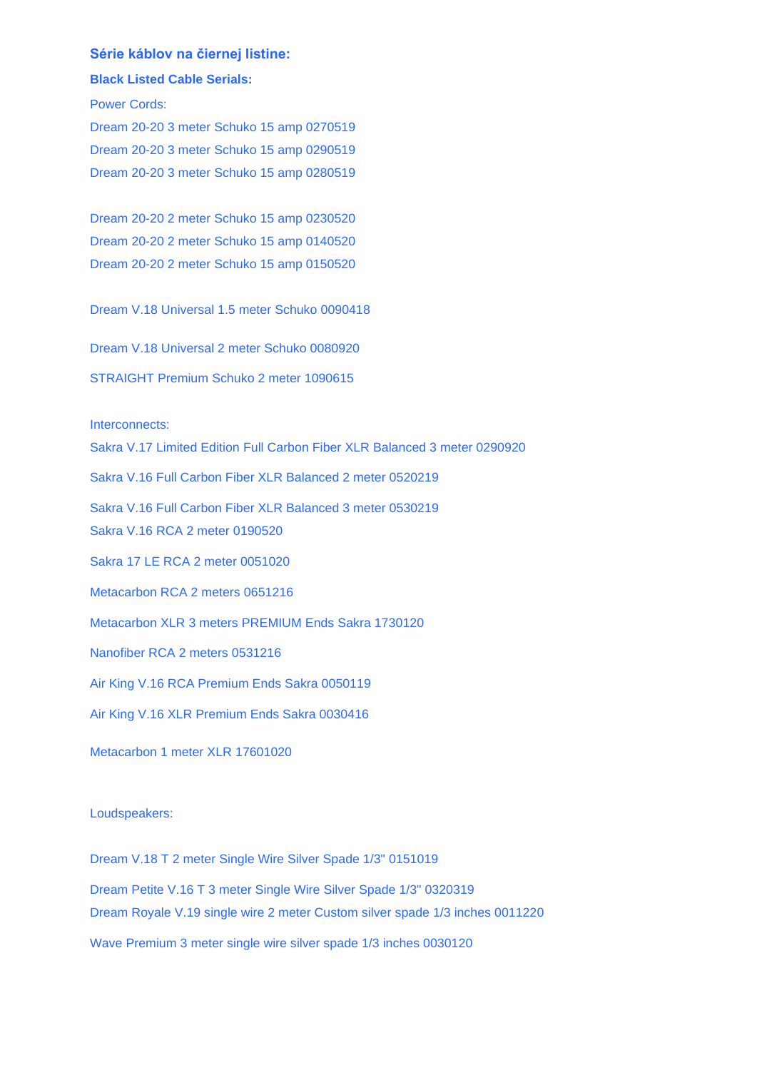## **Série káblov na čiernej listine:**

## **Black Listed Cable Serials:**

Power Cords:

Dream 20-20 3 meter Schuko 15 amp 0270519 Dream 20-20 3 meter Schuko 15 amp 0290519 Dream 20-20 3 meter Schuko 15 amp 0280519

Dream 20-20 2 meter Schuko 15 amp 0230520 Dream 20-20 2 meter Schuko 15 amp 0140520 Dream 20-20 2 meter Schuko 15 amp 0150520

Dream V.18 Universal 1.5 meter Schuko 0090418

Dream V.18 Universal 2 meter Schuko 0080920

STRAIGHT Premium Schuko 2 meter 1090615

Interconnects:

Sakra V.17 Limited Edition Full Carbon Fiber XLR Balanced 3 meter 0290920

Sakra V.16 Full Carbon Fiber XLR Balanced 2 meter 0520219

Sakra V.16 Full Carbon Fiber XLR Balanced 3 meter 0530219

Sakra V.16 RCA 2 meter 0190520

Sakra 17 LE RCA 2 meter 0051020

Metacarbon RCA 2 meters 0651216

Metacarbon XLR 3 meters PREMIUM Ends Sakra 1730120

Nanofiber RCA 2 meters 0531216

Air King V.16 RCA Premium Ends Sakra 0050119

Air King V.16 XLR Premium Ends Sakra 0030416

Metacarbon 1 meter XLR 17601020

Loudspeakers:

Dream V.18 T 2 meter Single Wire Silver Spade 1/3" 0151019 Dream Petite V.16 T 3 meter Single Wire Silver Spade 1/3" 0320319 Dream Royale V.19 single wire 2 meter Custom silver spade 1/3 inches 0011220 Wave Premium 3 meter single wire silver spade 1/3 inches 0030120